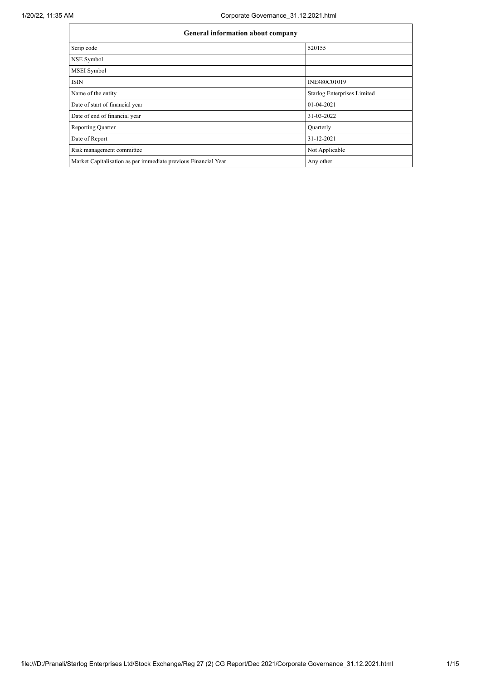| <b>General information about company</b>                       |                             |
|----------------------------------------------------------------|-----------------------------|
| Scrip code                                                     | 520155                      |
| NSE Symbol                                                     |                             |
| <b>MSEI</b> Symbol                                             |                             |
| <b>ISIN</b>                                                    | INE480C01019                |
| Name of the entity                                             | Starlog Enterprises Limited |
| Date of start of financial year                                | 01-04-2021                  |
| Date of end of financial year                                  | 31-03-2022                  |
| <b>Reporting Quarter</b>                                       | Quarterly                   |
| Date of Report                                                 | 31-12-2021                  |
| Risk management committee                                      | Not Applicable              |
| Market Capitalisation as per immediate previous Financial Year | Any other                   |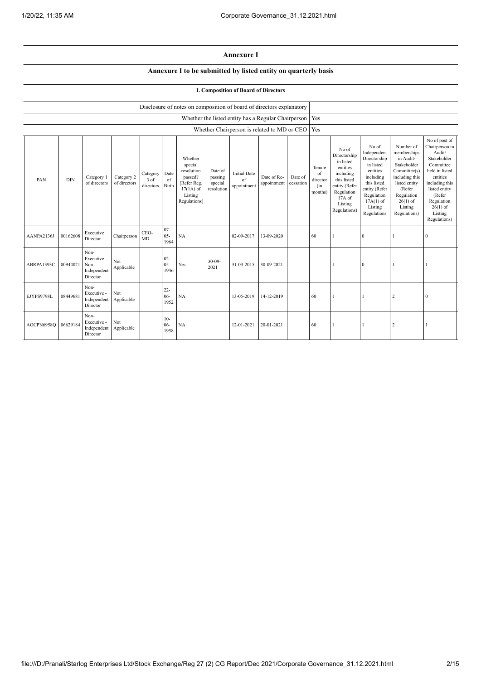## **Annexure I**

## **Annexure I to be submitted by listed entity on quarterly basis**

## **I. Composition of Board of Directors**

|            |            |                                                           |                            |                               |                          | Disclosure of notes on composition of board of directors explanatory                                 |                                             |                                                     |                            |                      |                                            |                                                                                                                                                  |                                                                                                                                                                   |                                                                                                                                                                          |                                                                                                                                                                                                         |
|------------|------------|-----------------------------------------------------------|----------------------------|-------------------------------|--------------------------|------------------------------------------------------------------------------------------------------|---------------------------------------------|-----------------------------------------------------|----------------------------|----------------------|--------------------------------------------|--------------------------------------------------------------------------------------------------------------------------------------------------|-------------------------------------------------------------------------------------------------------------------------------------------------------------------|--------------------------------------------------------------------------------------------------------------------------------------------------------------------------|---------------------------------------------------------------------------------------------------------------------------------------------------------------------------------------------------------|
|            |            |                                                           |                            |                               |                          |                                                                                                      |                                             | Whether the listed entity has a Regular Chairperson |                            |                      | Yes                                        |                                                                                                                                                  |                                                                                                                                                                   |                                                                                                                                                                          |                                                                                                                                                                                                         |
|            |            |                                                           |                            |                               |                          |                                                                                                      |                                             | Whether Chairperson is related to MD or CEO   Yes   |                            |                      |                                            |                                                                                                                                                  |                                                                                                                                                                   |                                                                                                                                                                          |                                                                                                                                                                                                         |
| PAN        | <b>DIN</b> | Category 1<br>of directors                                | Category 2<br>of directors | Category<br>3 of<br>directors | Date<br>of<br>Birth      | Whether<br>special<br>resolution<br>passed?<br>[Refer Reg.<br>$17(1A)$ of<br>Listing<br>Regulations] | Date of<br>passing<br>special<br>resolution | <b>Initial Date</b><br>of<br>appointment            | Date of Re-<br>appointment | Date of<br>cessation | Tenure<br>of<br>director<br>(in<br>months) | No of<br>Directorship<br>in listed<br>entities<br>including<br>this listed<br>entity (Refer<br>Regulation<br>$17A$ of<br>Listing<br>Regulations) | No of<br>Independent<br>Directorship<br>in listed<br>entities<br>including<br>this listed<br>entity (Refer<br>Regulation<br>$17A(1)$ of<br>Listing<br>Regulations | Number of<br>memberships<br>in Audit/<br>Stakeholder<br>Committee(s)<br>including this<br>listed entity<br>(Refer<br>Regulation<br>$26(1)$ of<br>Listing<br>Regulations) | No of post of<br>Chairperson in<br>Audit/<br>Stakeholder<br>Committee<br>held in listed<br>entities<br>including this<br>listed entity<br>(Refer<br>Regulation<br>$26(1)$ of<br>Listing<br>Regulations) |
| AANPA2136J | 00162608   | Executive<br>Director                                     | Chairperson                | CEO-<br><b>MD</b>             | $07 -$<br>$05 -$<br>1964 | NA                                                                                                   |                                             | 02-09-2017                                          | 13-09-2020                 |                      | 60                                         |                                                                                                                                                  | $\mathbf{0}$                                                                                                                                                      |                                                                                                                                                                          | $\mathbf{0}$                                                                                                                                                                                            |
| ABRPA1393C | 00944021   | Non-<br>Executive -<br>Non<br>Independent<br>Director     | Not<br>Applicable          |                               | $02 -$<br>$05 -$<br>1946 | Yes                                                                                                  | $30 - 09 -$<br>2021                         | 31-03-2015                                          | 30-09-2021                 |                      |                                            |                                                                                                                                                  | $\mathbf{0}$                                                                                                                                                      |                                                                                                                                                                          |                                                                                                                                                                                                         |
| EJYPS9798L | 08449681   | Non-<br>Executive -<br>Independent Applicable<br>Director | Not                        |                               | $22 -$<br>$06 -$<br>1952 | NA                                                                                                   |                                             | 13-05-2019                                          | 14-12-2019                 |                      | 60                                         |                                                                                                                                                  |                                                                                                                                                                   | $\overline{2}$                                                                                                                                                           | $\mathbf{0}$                                                                                                                                                                                            |
| AOCPN6958Q | 06629184   | Non-<br>Executive -<br>Independent<br>Director            | Not<br>Applicable          |                               | $10-$<br>$06 -$<br>1958  | NA                                                                                                   |                                             | 12-01-2021                                          | 20-01-2021                 |                      | 60                                         | 1                                                                                                                                                |                                                                                                                                                                   | $\overline{2}$                                                                                                                                                           | 1                                                                                                                                                                                                       |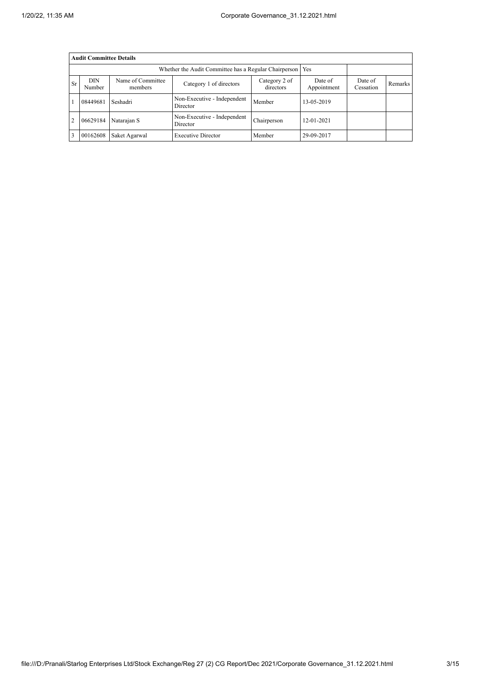|           | <b>Audit Committee Details</b> |                              |                                                       |                            |                        |                      |                |
|-----------|--------------------------------|------------------------------|-------------------------------------------------------|----------------------------|------------------------|----------------------|----------------|
|           |                                |                              | Whether the Audit Committee has a Regular Chairperson |                            | Yes                    |                      |                |
| <b>Sr</b> | <b>DIN</b><br>Number           | Name of Committee<br>members | Category 1 of directors                               | Category 2 of<br>directors | Date of<br>Appointment | Date of<br>Cessation | <b>Remarks</b> |
|           | 08449681                       | Seshadri                     | Non-Executive - Independent<br>Director               | Member                     | 13-05-2019             |                      |                |
| 2         | 06629184                       | Natarajan S                  | Non-Executive - Independent<br>Director               | Chairperson                | 12-01-2021             |                      |                |
| 3         | 00162608                       | Saket Agarwal                | <b>Executive Director</b>                             | Member                     | 29-09-2017             |                      |                |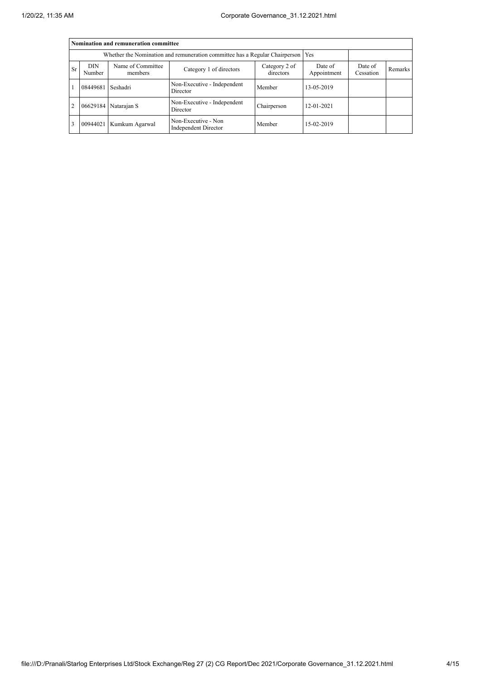|                |                      | Nomination and remuneration committee |                                                                                   |                            |                        |                      |         |
|----------------|----------------------|---------------------------------------|-----------------------------------------------------------------------------------|----------------------------|------------------------|----------------------|---------|
|                |                      |                                       | Whether the Nomination and remuneration committee has a Regular Chairperson   Yes |                            |                        |                      |         |
| <b>Sr</b>      | <b>DIN</b><br>Number | Name of Committee<br>members          | Category 1 of directors                                                           | Category 2 of<br>directors | Date of<br>Appointment | Date of<br>Cessation | Remarks |
|                | 08449681             | Seshadri                              | Non-Executive - Independent<br>Director                                           | Member                     | 13-05-2019             |                      |         |
| $\overline{2}$ |                      | 06629184 Natarajan S                  | Non-Executive - Independent<br>Director                                           | Chairperson                | 12-01-2021             |                      |         |
| 3              | 00944021             | Kumkum Agarwal                        | Non-Executive - Non<br>Independent Director                                       | Member                     | 15-02-2019             |                      |         |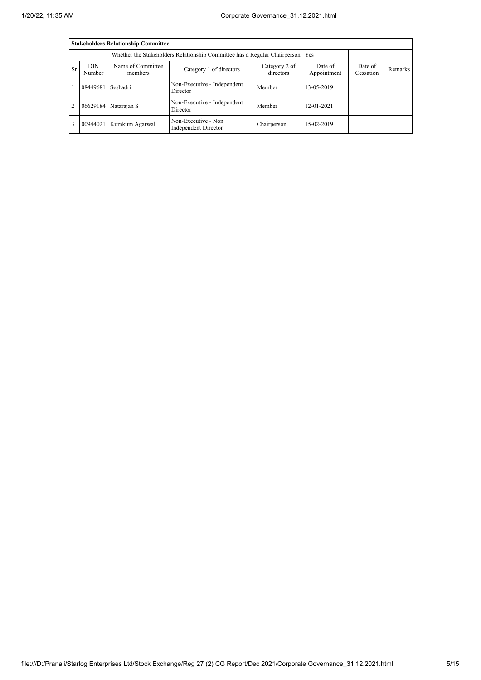|                |                      | <b>Stakeholders Relationship Committee</b> |                                                                                 |                            |                        |                      |         |
|----------------|----------------------|--------------------------------------------|---------------------------------------------------------------------------------|----------------------------|------------------------|----------------------|---------|
|                |                      |                                            | Whether the Stakeholders Relationship Committee has a Regular Chairperson   Yes |                            |                        |                      |         |
| <b>Sr</b>      | <b>DIN</b><br>Number | Name of Committee<br>members               | Category 1 of directors                                                         | Category 2 of<br>directors | Date of<br>Appointment | Date of<br>Cessation | Remarks |
|                | 08449681             | Seshadri                                   | Non-Executive - Independent<br>Director                                         | Member                     | 13-05-2019             |                      |         |
| $\overline{2}$ |                      | 06629184 Natarajan S                       | Non-Executive - Independent<br>Director                                         | Member                     | $12 - 01 - 2021$       |                      |         |
| 3              | 00944021             | Kumkum Agarwal                             | Non-Executive - Non<br>Independent Director                                     | Chairperson                | 15-02-2019             |                      |         |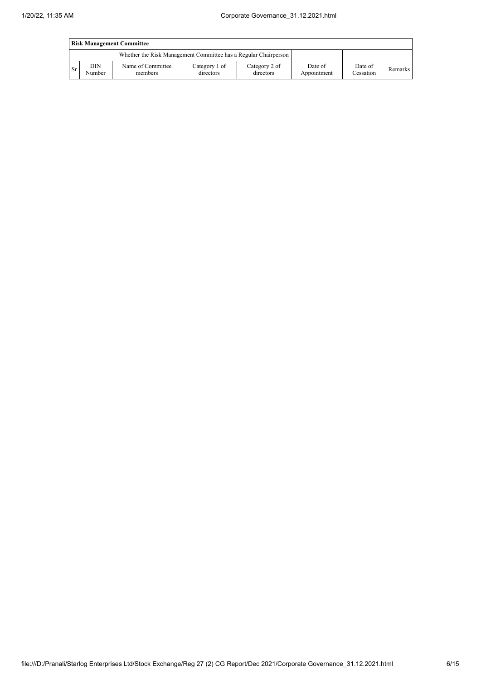|      | <b>Risk Management Committee</b>                                |                              |                            |                            |                        |                      |         |  |  |  |
|------|-----------------------------------------------------------------|------------------------------|----------------------------|----------------------------|------------------------|----------------------|---------|--|--|--|
|      | Whether the Risk Management Committee has a Regular Chairperson |                              |                            |                            |                        |                      |         |  |  |  |
| l Sr | DIN<br>Number                                                   | Name of Committee<br>members | Category 1 of<br>directors | Category 2 of<br>directors | Date of<br>Appointment | Date of<br>Cessation | Remarks |  |  |  |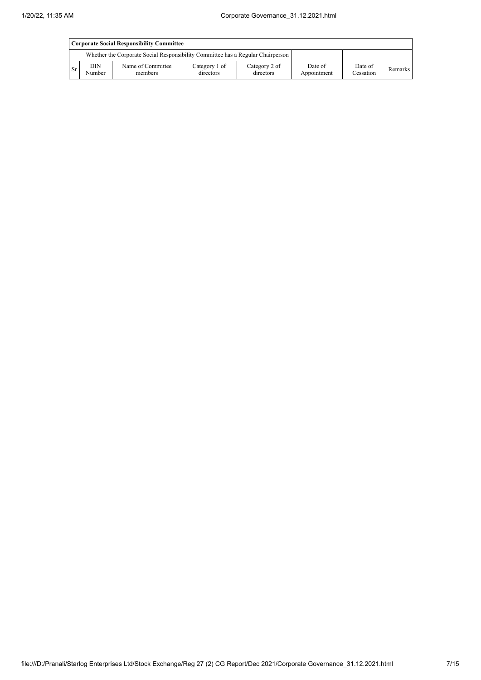|           | Corporate Social Responsibility Committee |                                                                                 |                            |                            |                        |                      |         |  |  |  |
|-----------|-------------------------------------------|---------------------------------------------------------------------------------|----------------------------|----------------------------|------------------------|----------------------|---------|--|--|--|
|           |                                           | Whether the Corporate Social Responsibility Committee has a Regular Chairperson |                            |                            |                        |                      |         |  |  |  |
| <b>Sr</b> | <b>DIN</b><br>Number                      | Name of Committee<br>members                                                    | Category 1 of<br>directors | Category 2 of<br>directors | Date of<br>Appointment | Date of<br>Cessation | Remarks |  |  |  |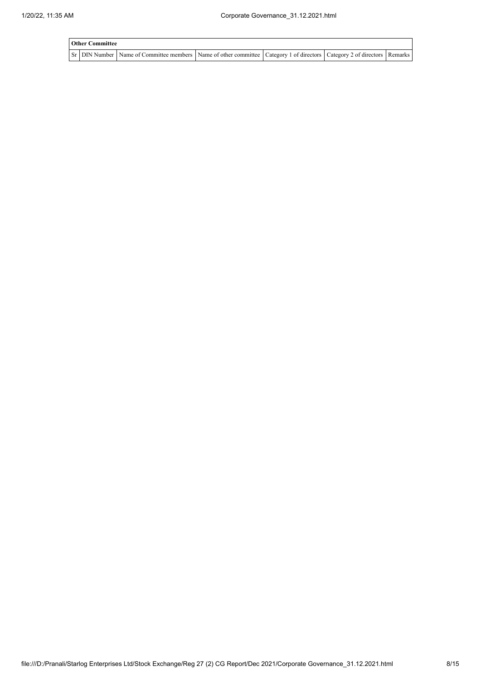| <b>Other Committee</b> |                                                                                                                                     |  |  |  |  |  |  |  |
|------------------------|-------------------------------------------------------------------------------------------------------------------------------------|--|--|--|--|--|--|--|
|                        | Sr   DIN Number   Name of Committee members   Name of other committee   Category 1 of directors   Category 2 of directors   Remarks |  |  |  |  |  |  |  |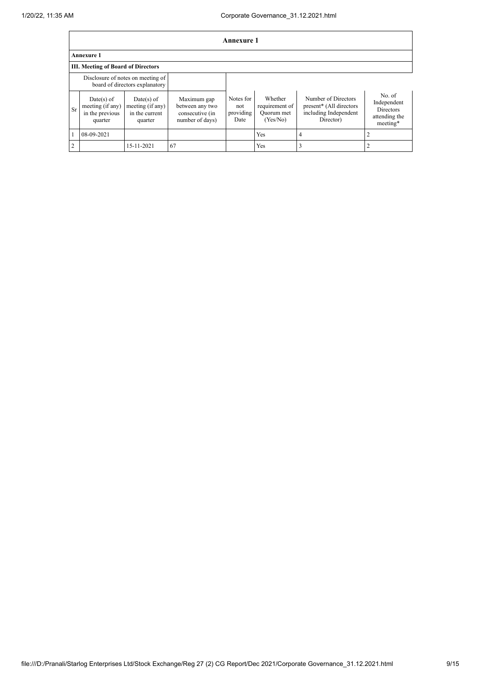|                                                                     | Annexure 1                                                   |                                                               |                                                                      |                                       |                                                     |                                                                                      |                                                                        |  |  |  |  |
|---------------------------------------------------------------------|--------------------------------------------------------------|---------------------------------------------------------------|----------------------------------------------------------------------|---------------------------------------|-----------------------------------------------------|--------------------------------------------------------------------------------------|------------------------------------------------------------------------|--|--|--|--|
|                                                                     | <b>Annexure 1</b>                                            |                                                               |                                                                      |                                       |                                                     |                                                                                      |                                                                        |  |  |  |  |
|                                                                     | <b>III. Meeting of Board of Directors</b>                    |                                                               |                                                                      |                                       |                                                     |                                                                                      |                                                                        |  |  |  |  |
| Disclosure of notes on meeting of<br>board of directors explanatory |                                                              |                                                               |                                                                      |                                       |                                                     |                                                                                      |                                                                        |  |  |  |  |
| Sr                                                                  | Date(s) of<br>meeting (if any)<br>in the previous<br>quarter | $Date(s)$ of<br>meeting (if any)<br>in the current<br>quarter | Maximum gap<br>between any two<br>consecutive (in<br>number of days) | Notes for<br>not<br>providing<br>Date | Whether<br>requirement of<br>Quorum met<br>(Yes/No) | Number of Directors<br>present* (All directors<br>including Independent<br>Director) | No. of<br>Independent<br><b>Directors</b><br>attending the<br>meeting* |  |  |  |  |
|                                                                     | 08-09-2021                                                   |                                                               |                                                                      |                                       | Yes                                                 | 4                                                                                    |                                                                        |  |  |  |  |
| ↑                                                                   |                                                              | 15-11-2021                                                    | 67                                                                   |                                       | Yes                                                 | 3                                                                                    |                                                                        |  |  |  |  |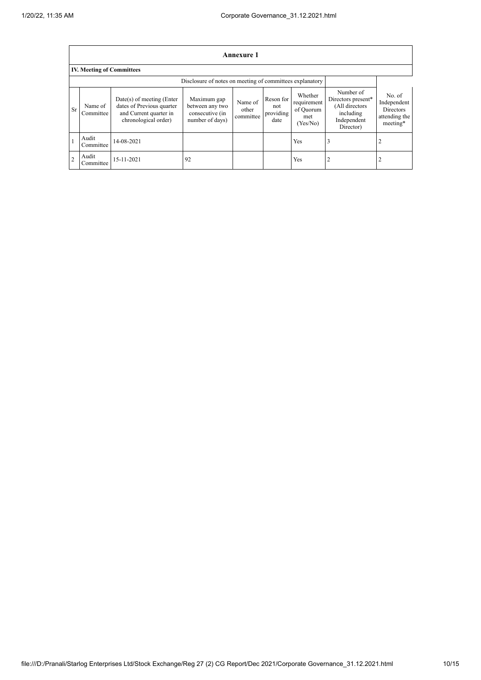|               | Annexure 1                                               |                                                                                                            |                                                                      |                               |                                       |                                                        |                                                                                            |                                                                        |  |  |  |  |
|---------------|----------------------------------------------------------|------------------------------------------------------------------------------------------------------------|----------------------------------------------------------------------|-------------------------------|---------------------------------------|--------------------------------------------------------|--------------------------------------------------------------------------------------------|------------------------------------------------------------------------|--|--|--|--|
|               | <b>IV. Meeting of Committees</b>                         |                                                                                                            |                                                                      |                               |                                       |                                                        |                                                                                            |                                                                        |  |  |  |  |
|               | Disclosure of notes on meeting of committees explanatory |                                                                                                            |                                                                      |                               |                                       |                                                        |                                                                                            |                                                                        |  |  |  |  |
| <b>Sr</b>     | Name of<br>Committee                                     | $Date(s)$ of meeting (Enter<br>dates of Previous quarter<br>and Current quarter in<br>chronological order) | Maximum gap<br>between any two<br>consecutive (in<br>number of days) | Name of<br>other<br>committee | Reson for<br>not<br>providing<br>date | Whether<br>requirement<br>of Quorum<br>met<br>(Yes/No) | Number of<br>Directors present*<br>(All directors<br>including<br>Independent<br>Director) | No. of<br>Independent<br><b>Directors</b><br>attending the<br>meeting* |  |  |  |  |
|               | Audit<br>Committee                                       | 14-08-2021                                                                                                 |                                                                      |                               |                                       | Yes                                                    | 3                                                                                          | 2                                                                      |  |  |  |  |
| $\mathcal{D}$ | Audit<br>Committee                                       | 15-11-2021                                                                                                 | 92                                                                   |                               |                                       | Yes                                                    | 2                                                                                          | $\overline{2}$                                                         |  |  |  |  |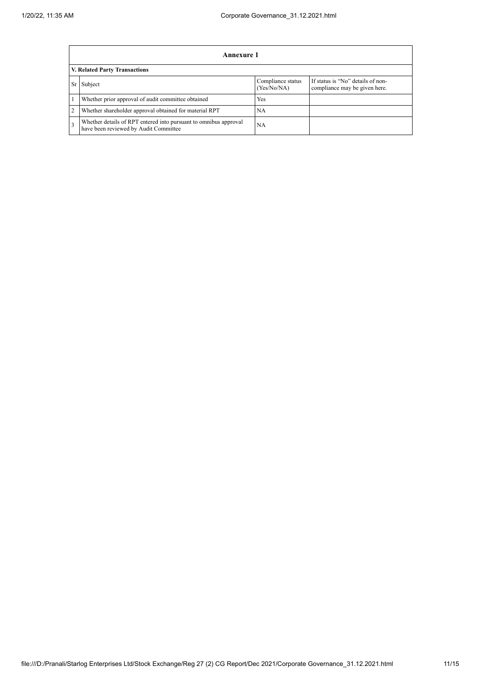|      | Annexure 1                                                                                                |                                  |                                                                    |  |  |  |  |  |
|------|-----------------------------------------------------------------------------------------------------------|----------------------------------|--------------------------------------------------------------------|--|--|--|--|--|
|      | <b>V. Related Party Transactions</b>                                                                      |                                  |                                                                    |  |  |  |  |  |
| Sr I | Subject                                                                                                   | Compliance status<br>(Yes/No/NA) | If status is "No" details of non-<br>compliance may be given here. |  |  |  |  |  |
|      | Whether prior approval of audit committee obtained                                                        | Yes                              |                                                                    |  |  |  |  |  |
|      | Whether shareholder approval obtained for material RPT                                                    | NА                               |                                                                    |  |  |  |  |  |
|      | Whether details of RPT entered into pursuant to omnibus approval<br>have been reviewed by Audit Committee | <b>NA</b>                        |                                                                    |  |  |  |  |  |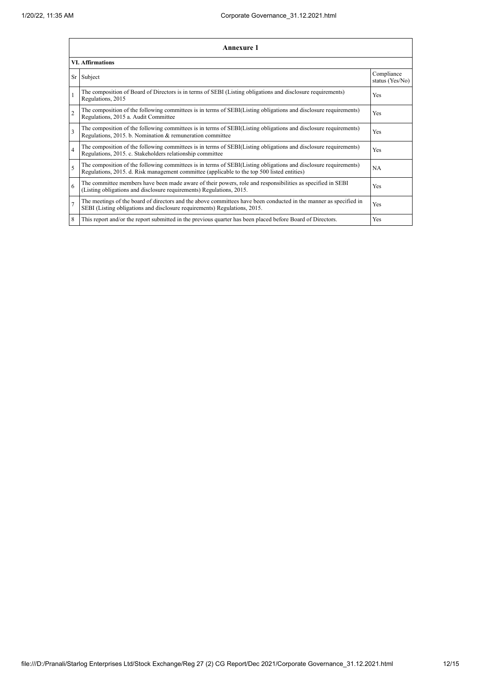|                         | <b>Annexure 1</b>                                                                                                                                                                                               |                               |  |  |  |  |  |  |  |
|-------------------------|-----------------------------------------------------------------------------------------------------------------------------------------------------------------------------------------------------------------|-------------------------------|--|--|--|--|--|--|--|
|                         | <b>VI.</b> Affirmations                                                                                                                                                                                         |                               |  |  |  |  |  |  |  |
|                         | Sr Subject                                                                                                                                                                                                      | Compliance<br>status (Yes/No) |  |  |  |  |  |  |  |
|                         | The composition of Board of Directors is in terms of SEBI (Listing obligations and disclosure requirements)<br>Regulations, 2015                                                                                | Yes                           |  |  |  |  |  |  |  |
| $\overline{2}$          | The composition of the following committees is in terms of SEBI(Listing obligations and disclosure requirements)<br>Regulations, 2015 a. Audit Committee                                                        | Yes                           |  |  |  |  |  |  |  |
| 3                       | The composition of the following committees is in terms of SEBI(Listing obligations and disclosure requirements)<br>Regulations, 2015. b. Nomination & remuneration committee                                   | Yes                           |  |  |  |  |  |  |  |
| $\overline{\mathbf{4}}$ | The composition of the following committees is in terms of SEBI(Listing obligations and disclosure requirements)<br>Regulations, 2015. c. Stakeholders relationship committee                                   | Yes                           |  |  |  |  |  |  |  |
| 5                       | The composition of the following committees is in terms of SEBI(Listing obligations and disclosure requirements)<br>Regulations, 2015. d. Risk management committee (applicable to the top 500 listed entities) | NA                            |  |  |  |  |  |  |  |
| 6                       | The committee members have been made aware of their powers, role and responsibilities as specified in SEBI<br>(Listing obligations and disclosure requirements) Regulations, 2015.                              | Yes                           |  |  |  |  |  |  |  |
| $\overline{7}$          | The meetings of the board of directors and the above committees have been conducted in the manner as specified in<br>SEBI (Listing obligations and disclosure requirements) Regulations, 2015.                  | Yes                           |  |  |  |  |  |  |  |
| 8                       | This report and/or the report submitted in the previous quarter has been placed before Board of Directors.                                                                                                      | Yes                           |  |  |  |  |  |  |  |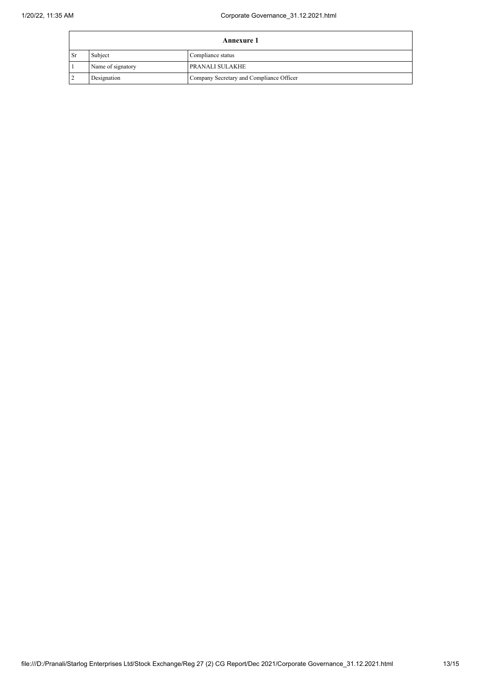| <b>Annexure 1</b> |                   |                                          |
|-------------------|-------------------|------------------------------------------|
| l Sr              | Subject           | Compliance status                        |
|                   | Name of signatory | <b>PRANALI SULAKHE</b>                   |
|                   | Designation       | Company Secretary and Compliance Officer |